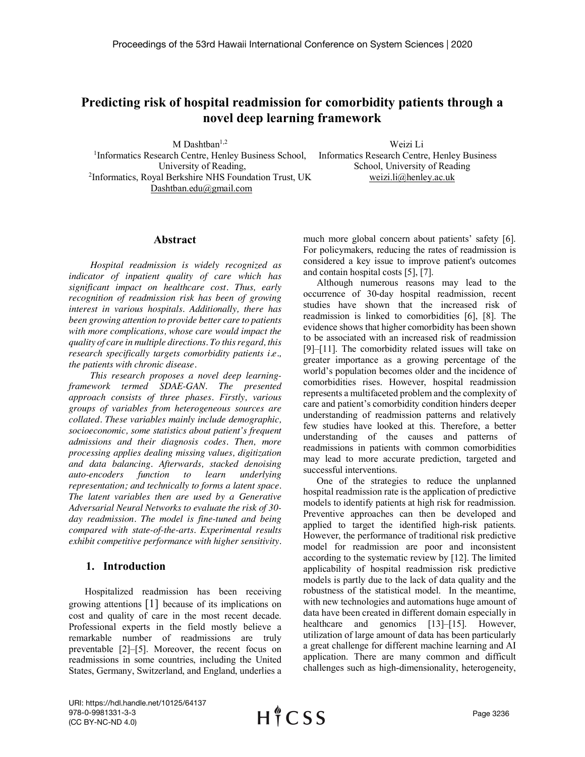# **Predicting risk of hospital readmission for comorbidity patients through a novel deep learning framework**

M Dashtban<sup>1,2</sup>

Weizi Li

<sup>1</sup>Informatics Research Centre, Henley Business School, University of Reading, 2 Informatics, Royal Berkshire NHS Foundation Trust, UK Dashtban.edu@gmail.com

Informatics Research Centre, Henley Business School, University of Reading weizi.li@henley.ac.uk

#### **Abstract**

*Hospital readmission is widely recognized as indicator of inpatient quality of care which has significant impact on healthcare cost. Thus, early recognition of readmission risk has been of growing interest in various hospitals. Additionally, there has been growing attention to provide better care to patients with more complications, whose care would impact the quality of care in multiple directions. To this regard, this research specifically targets comorbidity patients i.e., the patients with chronic disease.*

*This research proposes a novel deep learningframework termed SDAE-GAN. The presented approach consists of three phases. Firstly, various groups of variables from heterogeneous sources are collated. These variables mainly include demographic, socioeconomic, some statistics about patient's frequent admissions and their diagnosis codes. Then, more processing applies dealing missing values, digitization and data balancing. Afterwards, stacked denoising auto-encoders function to learn underlying representation; and technically to forms a latent space. The latent variables then are used by a Generative Adversarial Neural Networks to evaluate the risk of 30 day readmission. The model is fine-tuned and being compared with state-of-the-arts. Experimental results exhibit competitive performance with higher sensitivity.* 

#### **1. Introduction**

Hospitalized readmission has been receiving growing attentions [1] because of its implications on cost and quality of care in the most recent decade. Professional experts in the field mostly believe a remarkable number of readmissions are truly preventable [2]–[5]. Moreover, the recent focus on readmissions in some countries, including the United States, Germany, Switzerland, and England, underlies a much more global concern about patients' safety [6]. For policymakers, reducing the rates of readmission is considered a key issue to improve patient's outcomes and contain hospital costs [5], [7].

Although numerous reasons may lead to the occurrence of 30-day hospital readmission, recent studies have shown that the increased risk of readmission is linked to comorbidities [6], [8]. The evidence shows that higher comorbidity has been shown to be associated with an increased risk of readmission [9]–[11]. The comorbidity related issues will take on greater importance as a growing percentage of the world's population becomes older and the incidence of comorbidities rises. However, hospital readmission represents a multifaceted problem and the complexity of care and patient's comorbidity condition hinders deeper understanding of readmission patterns and relatively few studies have looked at this. Therefore, a better understanding of the causes and patterns of readmissions in patients with common comorbidities may lead to more accurate prediction, targeted and successful interventions.

One of the strategies to reduce the unplanned hospital readmission rate is the application of predictive models to identify patients at high risk for readmission. Preventive approaches can then be developed and applied to target the identified high-risk patients. However, the performance of traditional risk predictive model for readmission are poor and inconsistent according to the systematic review by [12]. The limited applicability of hospital readmission risk predictive models is partly due to the lack of data quality and the robustness of the statistical model. In the meantime, with new technologies and automations huge amount of data have been created in different domain especially in healthcare and genomics [13]–[15]. However, utilization of large amount of data has been particularly a great challenge for different machine learning and AI application. There are many common and difficult challenges such as high-dimensionality, heterogeneity,

URI: https://hdl.handle.net/10125/64137 978-0-9981331-3-3 (CC BY-NC-ND 4.0)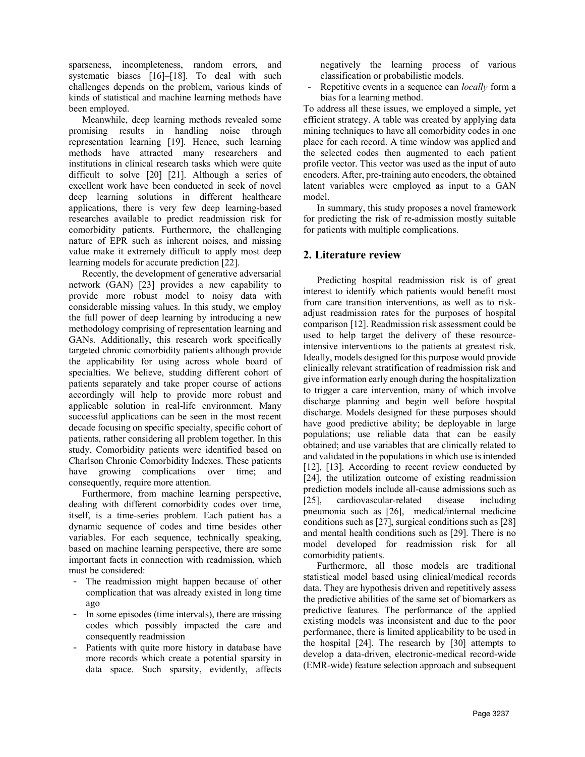sparseness, incompleteness, random errors, and systematic biases [16]–[18]. To deal with such challenges depends on the problem, various kinds of kinds of statistical and machine learning methods have been employed.

Meanwhile, deep learning methods revealed some promising results in handling noise through representation learning [19]. Hence, such learning methods have attracted many researchers and institutions in clinical research tasks which were quite difficult to solve [20] [21]. Although a series of excellent work have been conducted in seek of novel deep learning solutions in different healthcare applications, there is very few deep learning-based researches available to predict readmission risk for comorbidity patients. Furthermore, the challenging nature of EPR such as inherent noises, and missing value make it extremely difficult to apply most deep learning models for accurate prediction [22].

Recently, the development of generative adversarial network (GAN) [23] provides a new capability to provide more robust model to noisy data with considerable missing values. In this study, we employ the full power of deep learning by introducing a new methodology comprising of representation learning and GANs. Additionally, this research work specifically targeted chronic comorbidity patients although provide the applicability for using across whole board of specialties. We believe, studding different cohort of patients separately and take proper course of actions accordingly will help to provide more robust and applicable solution in real-life environment. Many successful applications can be seen in the most recent decade focusing on specific specialty, specific cohort of patients, rather considering all problem together. In this study, Comorbidity patients were identified based on Charlson Chronic Comorbidity Indexes. These patients have growing complications over time; and consequently, require more attention.

Furthermore, from machine learning perspective, dealing with different comorbidity codes over time, itself, is a time-series problem. Each patient has a dynamic sequence of codes and time besides other variables. For each sequence, technically speaking, based on machine learning perspective, there are some important facts in connection with readmission, which must be considered:

- The readmission might happen because of other complication that was already existed in long time ago
- In some episodes (time intervals), there are missing codes which possibly impacted the care and consequently readmission
- Patients with quite more history in database have more records which create a potential sparsity in data space. Such sparsity, evidently, affects

negatively the learning process of various classification or probabilistic models.

Repetitive events in a sequence can *locally* form a bias for a learning method.

To address all these issues, we employed a simple, yet efficient strategy. A table was created by applying data mining techniques to have all comorbidity codes in one place for each record. A time window was applied and the selected codes then augmented to each patient profile vector. This vector was used as the input of auto encoders. After, pre-training auto encoders, the obtained latent variables were employed as input to a GAN model.

In summary, this study proposes a novel framework for predicting the risk of re-admission mostly suitable for patients with multiple complications.

## **2. Literature review**

Predicting hospital readmission risk is of great interest to identify which patients would benefit most from care transition interventions, as well as to riskadjust readmission rates for the purposes of hospital comparison [12]. Readmission risk assessment could be used to help target the delivery of these resourceintensive interventions to the patients at greatest risk. Ideally, models designed for this purpose would provide clinically relevant stratification of readmission risk and give information early enough during the hospitalization to trigger a care intervention, many of which involve discharge planning and begin well before hospital discharge. Models designed for these purposes should have good predictive ability; be deployable in large populations; use reliable data that can be easily obtained; and use variables that are clinically related to and validated in the populations in which use is intended [12], [13]. According to recent review conducted by [24], the utilization outcome of existing readmission prediction models include all-cause admissions such as [25], cardiovascular-related disease including pneumonia such as [26], medical/internal medicine conditions such as [27], surgical conditions such as [28] and mental health conditions such as [29]. There is no model developed for readmission risk for all comorbidity patients.

Furthermore, all those models are traditional statistical model based using clinical/medical records data. They are hypothesis driven and repetitively assess the predictive abilities of the same set of biomarkers as predictive features. The performance of the applied existing models was inconsistent and due to the poor performance, there is limited applicability to be used in the hospital [24]. The research by [30] attempts to develop a data-driven, electronic-medical record-wide (EMR-wide) feature selection approach and subsequent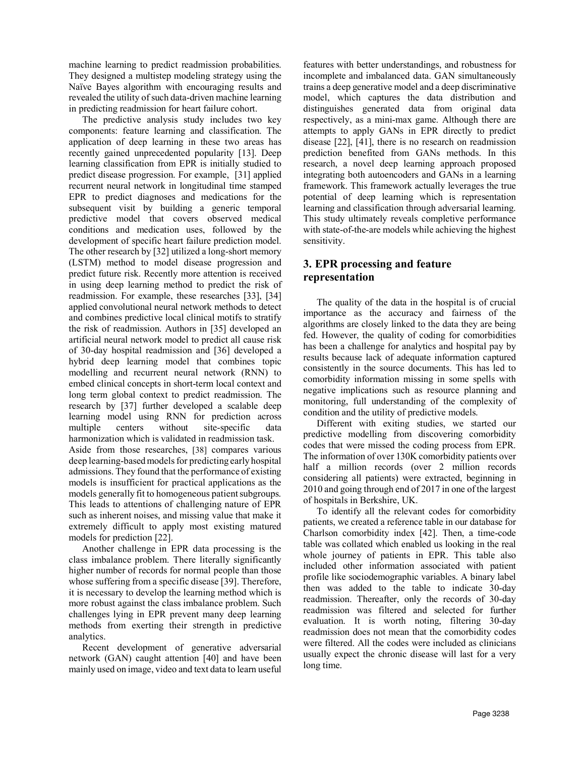machine learning to predict readmission probabilities. They designed a multistep modeling strategy using the Naïve Bayes algorithm with encouraging results and revealed the utility of such data-driven machine learning in predicting readmission for heart failure cohort.

The predictive analysis study includes two key components: feature learning and classification. The application of deep learning in these two areas has recently gained unprecedented popularity [13]. Deep learning classification from EPR is initially studied to predict disease progression. For example, [31] applied recurrent neural network in longitudinal time stamped EPR to predict diagnoses and medications for the subsequent visit by building a generic temporal predictive model that covers observed medical conditions and medication uses, followed by the development of specific heart failure prediction model. The other research by [32] utilized a long-short memory (LSTM) method to model disease progression and predict future risk. Recently more attention is received in using deep learning method to predict the risk of readmission. For example, these researches [33], [34] applied convolutional neural network methods to detect and combines predictive local clinical motifs to stratify the risk of readmission. Authors in [35] developed an artificial neural network model to predict all cause risk of 30-day hospital readmission and [36] developed a hybrid deep learning model that combines topic modelling and recurrent neural network (RNN) to embed clinical concepts in short-term local context and long term global context to predict readmission. The research by [37] further developed a scalable deep learning model using RNN for prediction across multiple centers without site-specific data harmonization which is validated in readmission task. Aside from those researches, [38] compares various deep learning-based models for predicting early hospital admissions. They found that the performance of existing models is insufficient for practical applications as the models generally fit to homogeneous patient subgroups. This leads to attentions of challenging nature of EPR such as inherent noises, and missing value that make it extremely difficult to apply most existing matured models for prediction [22].

Another challenge in EPR data processing is the class imbalance problem. There literally significantly higher number of records for normal people than those whose suffering from a specific disease [39]. Therefore, it is necessary to develop the learning method which is more robust against the class imbalance problem. Such challenges lying in EPR prevent many deep learning methods from exerting their strength in predictive analytics.

Recent development of generative adversarial network (GAN) caught attention [40] and have been mainly used on image, video and text data to learn useful

features with better understandings, and robustness for incomplete and imbalanced data. GAN simultaneously trains a deep generative model and a deep discriminative model, which captures the data distribution and distinguishes generated data from original data respectively, as a mini-max game. Although there are attempts to apply GANs in EPR directly to predict disease [22], [41], there is no research on readmission prediction benefited from GANs methods. In this research, a novel deep learning approach proposed integrating both autoencoders and GANs in a learning framework. This framework actually leverages the true potential of deep learning which is representation learning and classification through adversarial learning. This study ultimately reveals completive performance with state-of-the-are models while achieving the highest sensitivity.

## **3. EPR processing and feature representation**

The quality of the data in the hospital is of crucial importance as the accuracy and fairness of the algorithms are closely linked to the data they are being fed. However, the quality of coding for comorbidities has been a challenge for analytics and hospital pay by results because lack of adequate information captured consistently in the source documents. This has led to comorbidity information missing in some spells with negative implications such as resource planning and monitoring, full understanding of the complexity of condition and the utility of predictive models.

Different with exiting studies, we started our predictive modelling from discovering comorbidity codes that were missed the coding process from EPR. The information of over 130K comorbidity patients over half a million records (over 2 million records considering all patients) were extracted, beginning in 2010 and going through end of 2017 in one of the largest of hospitals in Berkshire, UK.

To identify all the relevant codes for comorbidity patients, we created a reference table in our database for Charlson comorbidity index [42]. Then, a time-code table was collated which enabled us looking in the real whole journey of patients in EPR. This table also included other information associated with patient profile like sociodemographic variables. A binary label then was added to the table to indicate 30-day readmission. Thereafter, only the records of 30-day readmission was filtered and selected for further evaluation. It is worth noting, filtering 30-day readmission does not mean that the comorbidity codes were filtered. All the codes were included as clinicians usually expect the chronic disease will last for a very long time.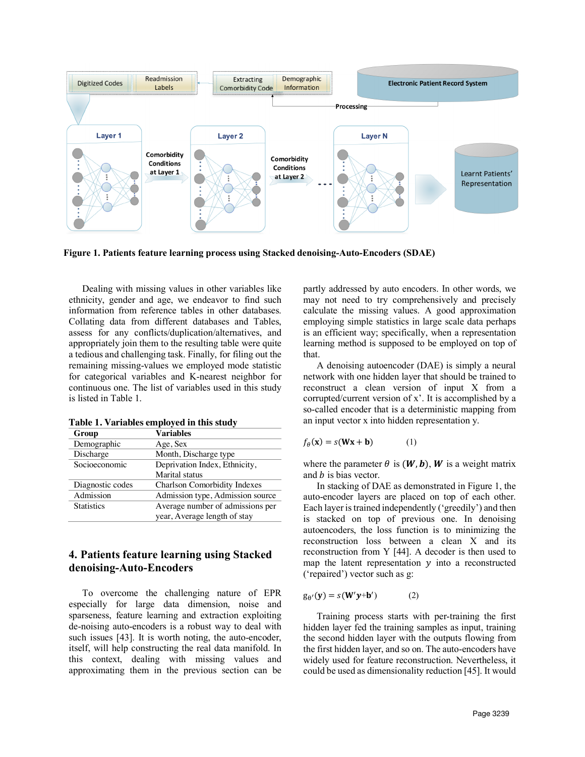

**Figure 1. Patients feature learning process using Stacked denoising-Auto-Encoders (SDAE)**

Dealing with missing values in other variables like ethnicity, gender and age, we endeavor to find such information from reference tables in other databases. Collating data from different databases and Tables, assess for any conflicts/duplication/alternatives, and appropriately join them to the resulting table were quite a tedious and challenging task. Finally, for filing out the remaining missing-values we employed mode statistic for categorical variables and K-nearest neighbor for continuous one. The list of variables used in this study is listed in Table 1.

| Group             | <b>Variables</b>                    |
|-------------------|-------------------------------------|
| Demographic       | Age, Sex                            |
| Discharge         | Month, Discharge type               |
| Socioeconomic     | Deprivation Index, Ethnicity,       |
|                   | Marital status                      |
| Diagnostic codes  | <b>Charlson Comorbidity Indexes</b> |
| Admission         | Admission type, Admission source    |
| <b>Statistics</b> | Average number of admissions per    |
|                   | year, Average length of stay        |

**Table 1. Variables employed in this study**

## **4. Patients feature learning using Stacked denoising-Auto-Encoders**

To overcome the challenging nature of EPR especially for large data dimension, noise and sparseness, feature learning and extraction exploiting de-noising auto-encoders is a robust way to deal with such issues [43]. It is worth noting, the auto-encoder, itself, will help constructing the real data manifold. In this context, dealing with missing values and approximating them in the previous section can be

partly addressed by auto encoders. In other words, we may not need to try comprehensively and precisely calculate the missing values. A good approximation employing simple statistics in large scale data perhaps is an efficient way; specifically, when a representation learning method is supposed to be employed on top of that.

A denoising autoencoder (DAE) is simply a neural network with one hidden layer that should be trained to reconstruct a clean version of input X from a corrupted/current version of x'. It is accomplished by a so-called encoder that is a deterministic mapping from an input vector x into hidden representation y.

$$
f_{\theta}(\mathbf{x}) = s(\mathbf{W}\mathbf{x} + \mathbf{b}) \tag{1}
$$

where the parameter  $\theta$  is (**W**, **b**), **W** is a weight matrix and  $b$  is bias vector.

In stacking of DAE as demonstrated in Figure 1, the auto-encoder layers are placed on top of each other. Each layer is trained independently ('greedily') and then is stacked on top of previous one. In denoising autoencoders, the loss function is to minimizing the reconstruction loss between a clean X and its reconstruction from Y [44]. A decoder is then used to map the latent representation  $y$  into a reconstructed ('repaired') vector such as g:

$$
g_{\theta'}(\mathbf{y}) = s(\mathbf{W'}\mathbf{y} + \mathbf{b'})
$$
 (2)

Training process starts with per-training the first hidden layer fed the training samples as input, training the second hidden layer with the outputs flowing from the first hidden layer, and so on. The auto-encoders have widely used for feature reconstruction. Nevertheless, it could be used as dimensionality reduction [45]. It would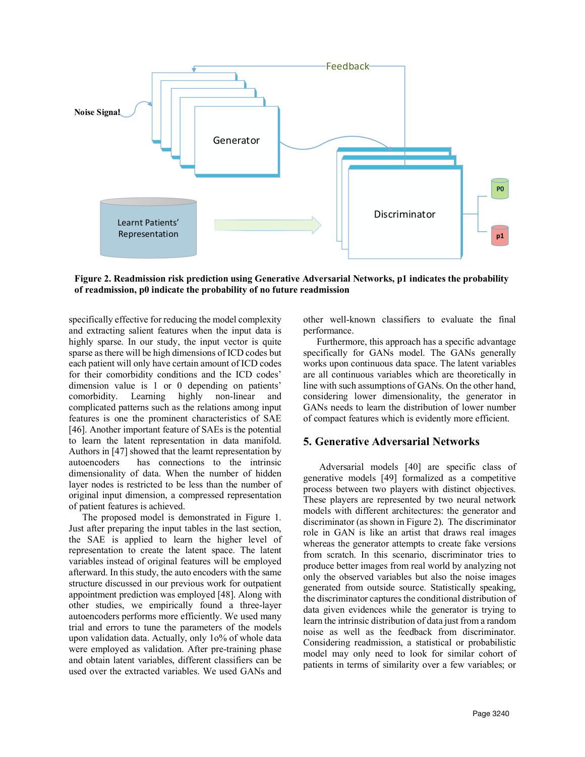

**Figure 2. Readmission risk prediction using Generative Adversarial Networks, p1 indicates the probability of readmission, p0 indicate the probability of no future readmission** 

specifically effective for reducing the model complexity and extracting salient features when the input data is highly sparse. In our study, the input vector is quite sparse as there will be high dimensions of ICD codes but each patient will only have certain amount of ICD codes for their comorbidity conditions and the ICD codes' dimension value is 1 or 0 depending on patients' comorbidity. Learning highly non-linear and complicated patterns such as the relations among input features is one the prominent characteristics of SAE [46]. Another important feature of SAEs is the potential to learn the latent representation in data manifold. Authors in [47] showed that the learnt representation by autoencoders has connections to the intrinsic dimensionality of data. When the number of hidden layer nodes is restricted to be less than the number of original input dimension, a compressed representation of patient features is achieved.

The proposed model is demonstrated in Figure 1. Just after preparing the input tables in the last section, the SAE is applied to learn the higher level of representation to create the latent space. The latent variables instead of original features will be employed afterward. In this study, the auto encoders with the same structure discussed in our previous work for outpatient appointment prediction was employed [48]. Along with other studies, we empirically found a three-layer autoencoders performs more efficiently. We used many trial and errors to tune the parameters of the models upon validation data. Actually, only 1o% of whole data were employed as validation. After pre-training phase and obtain latent variables, different classifiers can be used over the extracted variables. We used GANs and

other well-known classifiers to evaluate the final performance.

Furthermore, this approach has a specific advantage specifically for GANs model. The GANs generally works upon continuous data space. The latent variables are all continuous variables which are theoretically in line with such assumptions of GANs. On the other hand, considering lower dimensionality, the generator in GANs needs to learn the distribution of lower number of compact features which is evidently more efficient.

## **5. Generative Adversarial Networks**

Adversarial models [40] are specific class of generative models [49] formalized as a competitive process between two players with distinct objectives. These players are represented by two neural network models with different architectures: the generator and discriminator (as shown in Figure 2). The discriminator role in GAN is like an artist that draws real images whereas the generator attempts to create fake versions from scratch. In this scenario, discriminator tries to produce better images from real world by analyzing not only the observed variables but also the noise images generated from outside source. Statistically speaking, the discriminator captures the conditional distribution of data given evidences while the generator is trying to learn the intrinsic distribution of data just from a random noise as well as the feedback from discriminator. Considering readmission, a statistical or probabilistic model may only need to look for similar cohort of patients in terms of similarity over a few variables; or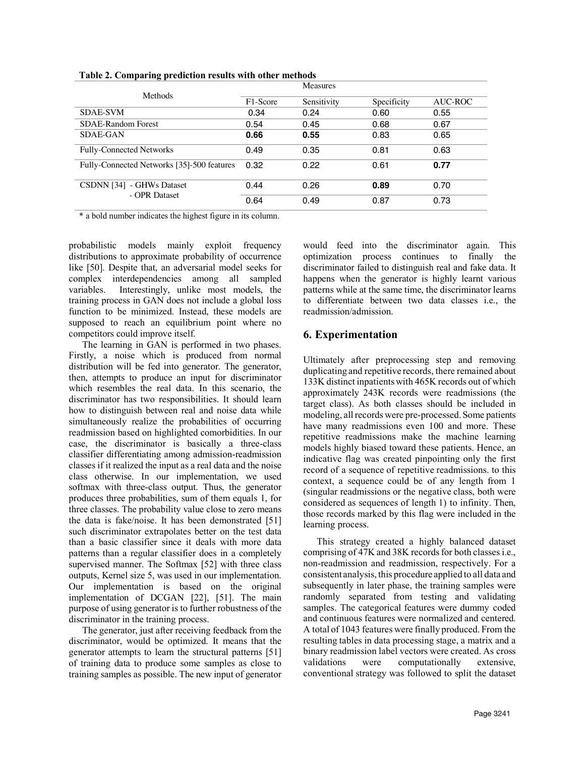| $\sim$ $\sim$                              |          | <b>Measures</b> |             |         |
|--------------------------------------------|----------|-----------------|-------------|---------|
| Methods                                    | F1-Score | Sensitivity     | Specificity | AUC-ROC |
| <b>SDAE-SVM</b>                            | 0.34     | 0.24            | 0.60        | 0.55    |
| SDAE-Random Forest                         | 0.54     | 0.45            | 0.68        | 0.67    |
| <b>SDAE-GAN</b>                            | 0.66     | 0.55            | 0.83        | 0.65    |
| Fully-Connected Networks                   | 0.49     | 0.35            | 0.81        | 0.63    |
| Fully-Connected Networks [35]-500 features | 0.32     | 0.22            | 0.61        | 0.77    |
| CSDNN [34] - GHWs Dataset<br>- OPR Dataset | 0.44     | 0.26            | 0.89        | 0.70    |
|                                            | 0.64     | 0.49            | 0.87        | 0.73    |

**Table 2. Comparing prediction results with other methods**

\* a bold number indicates the highest figure in its column.

probabilistic models mainly exploit frequency distributions to approximate probability of occurrence like [50]. Despite that, an adversarial model seeks for complex interdependencies among all sampled variables. Interestingly, unlike most models, the training process in GAN does not include a global loss function to be minimized. Instead, these models are supposed to reach an equilibrium point where no competitors could improve itself.

The learning in GAN is performed in two phases. Firstly, a noise which is produced from normal distribution will be fed into generator. The generator, then, attempts to produce an input for discriminator which resembles the real data. In this scenario, the discriminator has two responsibilities. It should learn how to distinguish between real and noise data while simultaneously realize the probabilities of occurring readmission based on highlighted comorbidities. In our case, the discriminator is basically a three-class classifier differentiating among admission-readmission classes if it realized the input as a real data and the noise class otherwise. In our implementation, we used softmax with three-class output. Thus, the generator produces three probabilities, sum of them equals 1, for three classes. The probability value close to zero means the data is fake/noise. It has been demonstrated [51] such discriminator extrapolates better on the test data than a basic classifier since it deals with more data patterns than a regular classifier does in a completely supervised manner. The Softmax [52] with three class outputs, Kernel size 5, was used in our implementation. Our implementation is based on the original implementation of DCGAN [22], [51]. The main purpose of using generator is to further robustness of the discriminator in the training process.

The generator, just after receiving feedback from the discriminator, would be optimized. It means that the generator attempts to learn the structural patterns [51] of training data to produce some samples as close to training samples as possible. The new input of generator would feed into the discriminator again. This optimization process continues to finally the discriminator failed to distinguish real and fake data. It happens when the generator is highly learnt various patterns while at the same time, the discriminator learns to differentiate between two data classes i.e., the readmission/admission.

## **6. Experimentation**

Ultimately after preprocessing step and removing duplicating and repetitive records, there remained about 133K distinct inpatients with 465K records out of which approximately 243K records were readmissions (the target class). As both classes should be included in modeling, all records were pre-processed. Some patients have many readmissions even 100 and more. These repetitive readmissions make the machine learning models highly biased toward these patients. Hence, an indicative flag was created pinpointing only the first record of a sequence of repetitive readmissions. to this context, a sequence could be of any length from 1 (singular readmissions or the negative class, both were considered as sequences of length 1) to infinity. Then, those records marked by this flag were included in the learning process.

This strategy created a highly balanced dataset comprising of 47K and 38K records for both classesi.e., non-readmission and readmission, respectively. For a consistent analysis, this procedure applied to all data and subsequently in later phase, the training samples were randomly separated from testing and validating samples. The categorical features were dummy coded and continuous features were normalized and centered. A total of 1043 features were finally produced. From the resulting tables in data processing stage, a matrix and a binary readmission label vectors were created. As cross validations were computationally extensive, conventional strategy was followed to split the dataset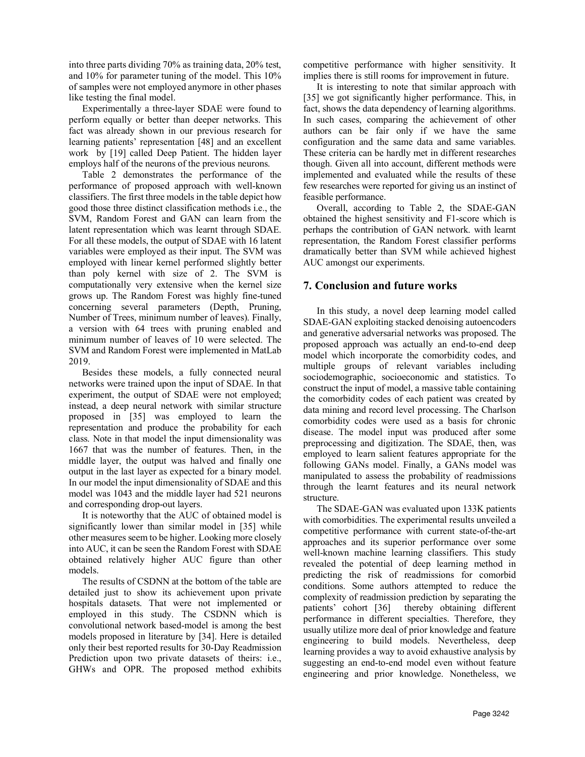into three parts dividing 70% as training data, 20% test, and 10% for parameter tuning of the model. This 10% of samples were not employed anymore in other phases like testing the final model.

Experimentally a three-layer SDAE were found to perform equally or better than deeper networks. This fact was already shown in our previous research for learning patients' representation [48] and an excellent work by [19] called Deep Patient. The hidden layer employs half of the neurons of the previous neurons.

Table 2 demonstrates the performance of the performance of proposed approach with well-known classifiers. The first three models in the table depict how good those three distinct classification methods i.e., the SVM, Random Forest and GAN can learn from the latent representation which was learnt through SDAE. For all these models, the output of SDAE with 16 latent variables were employed as their input. The SVM was employed with linear kernel performed slightly better than poly kernel with size of 2. The SVM is computationally very extensive when the kernel size grows up. The Random Forest was highly fine-tuned concerning several parameters (Depth, Pruning, Number of Trees, minimum number of leaves). Finally, a version with 64 trees with pruning enabled and minimum number of leaves of 10 were selected. The SVM and Random Forest were implemented in MatLab 2019.

Besides these models, a fully connected neural networks were trained upon the input of SDAE. In that experiment, the output of SDAE were not employed; instead, a deep neural network with similar structure proposed in [35] was employed to learn the representation and produce the probability for each class. Note in that model the input dimensionality was 1667 that was the number of features. Then, in the middle layer, the output was halved and finally one output in the last layer as expected for a binary model. In our model the input dimensionality of SDAE and this model was 1043 and the middle layer had 521 neurons and corresponding drop-out layers.

It is noteworthy that the AUC of obtained model is significantly lower than similar model in [35] while other measures seem to be higher. Looking more closely into AUC, it can be seen the Random Forest with SDAE obtained relatively higher AUC figure than other models.

The results of CSDNN at the bottom of the table are detailed just to show its achievement upon private hospitals datasets. That were not implemented or employed in this study. The CSDNN which is convolutional network based-model is among the best models proposed in literature by [34]. Here is detailed only their best reported results for 30-Day Readmission Prediction upon two private datasets of theirs: i.e., GHWs and OPR. The proposed method exhibits competitive performance with higher sensitivity. It implies there is still rooms for improvement in future.

It is interesting to note that similar approach with [35] we got significantly higher performance. This, in fact, shows the data dependency of learning algorithms. In such cases, comparing the achievement of other authors can be fair only if we have the same configuration and the same data and same variables. These criteria can be hardly met in different researches though. Given all into account, different methods were implemented and evaluated while the results of these few researches were reported for giving us an instinct of feasible performance.

Overall, according to Table 2, the SDAE-GAN obtained the highest sensitivity and F1-score which is perhaps the contribution of GAN network. with learnt representation, the Random Forest classifier performs dramatically better than SVM while achieved highest AUC amongst our experiments.

## **7. Conclusion and future works**

In this study, a novel deep learning model called SDAE-GAN exploiting stacked denoising autoencoders and generative adversarial networks was proposed. The proposed approach was actually an end-to-end deep model which incorporate the comorbidity codes, and multiple groups of relevant variables including sociodemographic, socioeconomic and statistics. To construct the input of model, a massive table containing the comorbidity codes of each patient was created by data mining and record level processing. The Charlson comorbidity codes were used as a basis for chronic disease. The model input was produced after some preprocessing and digitization. The SDAE, then, was employed to learn salient features appropriate for the following GANs model. Finally, a GANs model was manipulated to assess the probability of readmissions through the learnt features and its neural network structure.

The SDAE-GAN was evaluated upon 133K patients with comorbidities. The experimental results unveiled a competitive performance with current state-of-the-art approaches and its superior performance over some well-known machine learning classifiers. This study revealed the potential of deep learning method in predicting the risk of readmissions for comorbid conditions. Some authors attempted to reduce the complexity of readmission prediction by separating the patients' cohort [36] thereby obtaining different performance in different specialties. Therefore, they usually utilize more deal of prior knowledge and feature engineering to build models. Nevertheless, deep learning provides a way to avoid exhaustive analysis by suggesting an end-to-end model even without feature engineering and prior knowledge. Nonetheless, we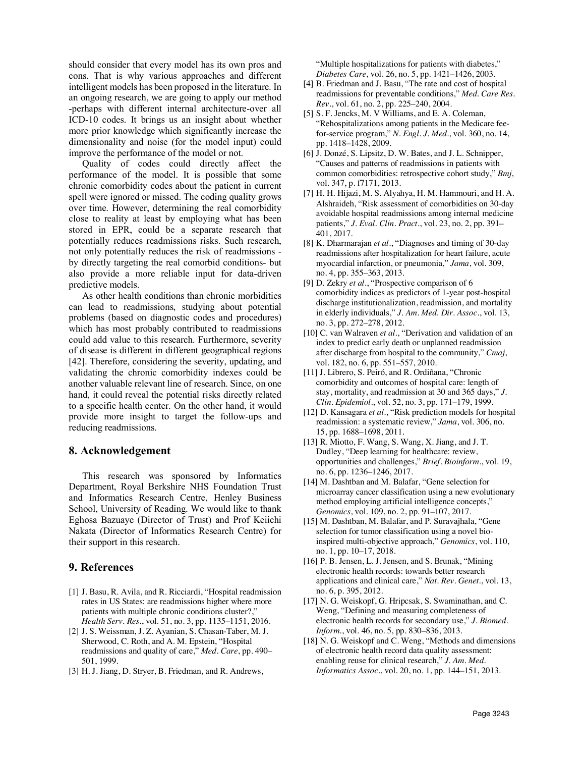should consider that every model has its own pros and cons. That is why various approaches and different intelligent models has been proposed in the literature. In an ongoing research, we are going to apply our method -perhaps with different internal architecture-over all ICD-10 codes. It brings us an insight about whether more prior knowledge which significantly increase the dimensionality and noise (for the model input) could improve the performance of the model or not.

Quality of codes could directly affect the performance of the model. It is possible that some chronic comorbidity codes about the patient in current spell were ignored or missed. The coding quality grows over time. However, determining the real comorbidity close to reality at least by employing what has been stored in EPR, could be a separate research that potentially reduces readmissions risks. Such research, not only potentially reduces the risk of readmissions by directly targeting the real comorbid conditions- but also provide a more reliable input for data-driven predictive models.

As other health conditions than chronic morbidities can lead to readmissions, studying about potential problems (based on diagnostic codes and procedures) which has most probably contributed to readmissions could add value to this research. Furthermore, severity of disease is different in different geographical regions [42]. Therefore, considering the severity, updating, and validating the chronic comorbidity indexes could be another valuable relevant line of research. Since, on one hand, it could reveal the potential risks directly related to a specific health center. On the other hand, it would provide more insight to target the follow-ups and reducing readmissions.

#### **8. Acknowledgement**

This research was sponsored by Informatics Department, Royal Berkshire NHS Foundation Trust and Informatics Research Centre, Henley Business School, University of Reading. We would like to thank Eghosa Bazuaye (Director of Trust) and Prof Keiichi Nakata (Director of Informatics Research Centre) for their support in this research.

#### **9. References**

- [1] J. Basu, R. Avila, and R. Ricciardi, "Hospital readmission rates in US States: are readmissions higher where more patients with multiple chronic conditions cluster?," *Health Serv. Res.*, vol. 51, no. 3, pp. 1135–1151, 2016.
- [2] J. S. Weissman, J. Z. Ayanian, S. Chasan-Taber, M. J. Sherwood, C. Roth, and A. M. Epstein, "Hospital readmissions and quality of care," *Med. Care*, pp. 490– 501, 1999.
- [3] H. J. Jiang, D. Stryer, B. Friedman, and R. Andrews,

"Multiple hospitalizations for patients with diabetes," *Diabetes Care*, vol. 26, no. 5, pp. 1421–1426, 2003.

- [4] B. Friedman and J. Basu, "The rate and cost of hospital readmissions for preventable conditions," *Med. Care Res. Rev.*, vol. 61, no. 2, pp. 225–240, 2004.
- [5] S. F. Jencks, M. V Williams, and E. A. Coleman, "Rehospitalizations among patients in the Medicare feefor-service program," *N. Engl. J. Med.*, vol. 360, no. 14, pp. 1418–1428, 2009.
- [6] J. Donzé, S. Lipsitz, D. W. Bates, and J. L. Schnipper, "Causes and patterns of readmissions in patients with common comorbidities: retrospective cohort study," *Bmj*, vol. 347, p. f7171, 2013.
- [7] H. H. Hijazi, M. S. Alyahya, H. M. Hammouri, and H. A. Alshraideh, "Risk assessment of comorbidities on 30-day avoidable hospital readmissions among internal medicine patients," *J. Eval. Clin. Pract.*, vol. 23, no. 2, pp. 391– 401, 2017.
- [8] K. Dharmarajan *et al.*, "Diagnoses and timing of 30-day readmissions after hospitalization for heart failure, acute myocardial infarction, or pneumonia," *Jama*, vol. 309, no. 4, pp. 355–363, 2013.
- [9] D. Zekry *et al.*, "Prospective comparison of 6 comorbidity indices as predictors of 1-year post-hospital discharge institutionalization, readmission, and mortality in elderly individuals," *J. Am. Med. Dir. Assoc.*, vol. 13, no. 3, pp. 272–278, 2012.
- [10] C. van Walraven *et al.*, "Derivation and validation of an index to predict early death or unplanned readmission after discharge from hospital to the community," *Cmaj*, vol. 182, no. 6, pp. 551–557, 2010.
- [11] J. Librero, S. Peiró, and R. Ordiñana, "Chronic comorbidity and outcomes of hospital care: length of stay, mortality, and readmission at 30 and 365 days," *J. Clin. Epidemiol.*, vol. 52, no. 3, pp. 171–179, 1999.
- [12] D. Kansagara *et al.*, "Risk prediction models for hospital readmission: a systematic review," *Jama*, vol. 306, no. 15, pp. 1688–1698, 2011.
- [13] R. Miotto, F. Wang, S. Wang, X. Jiang, and J. T. Dudley, "Deep learning for healthcare: review, opportunities and challenges," *Brief. Bioinform.*, vol. 19, no. 6, pp. 1236–1246, 2017.
- [14] M. Dashtban and M. Balafar, "Gene selection for microarray cancer classification using a new evolutionary method employing artificial intelligence concepts," *Genomics*, vol. 109, no. 2, pp. 91–107, 2017.
- [15] M. Dashtban, M. Balafar, and P. Suravajhala, "Gene selection for tumor classification using a novel bioinspired multi-objective approach," *Genomics*, vol. 110, no. 1, pp. 10–17, 2018.
- [16] P. B. Jensen, L. J. Jensen, and S. Brunak, "Mining" electronic health records: towards better research applications and clinical care," *Nat. Rev. Genet.*, vol. 13, no. 6, p. 395, 2012.
- [17] N. G. Weiskopf, G. Hripcsak, S. Swaminathan, and C. Weng, "Defining and measuring completeness of electronic health records for secondary use," *J. Biomed. Inform.*, vol. 46, no. 5, pp. 830–836, 2013.
- [18] N. G. Weiskopf and C. Weng, "Methods and dimensions of electronic health record data quality assessment: enabling reuse for clinical research," *J. Am. Med. Informatics Assoc.*, vol. 20, no. 1, pp. 144–151, 2013.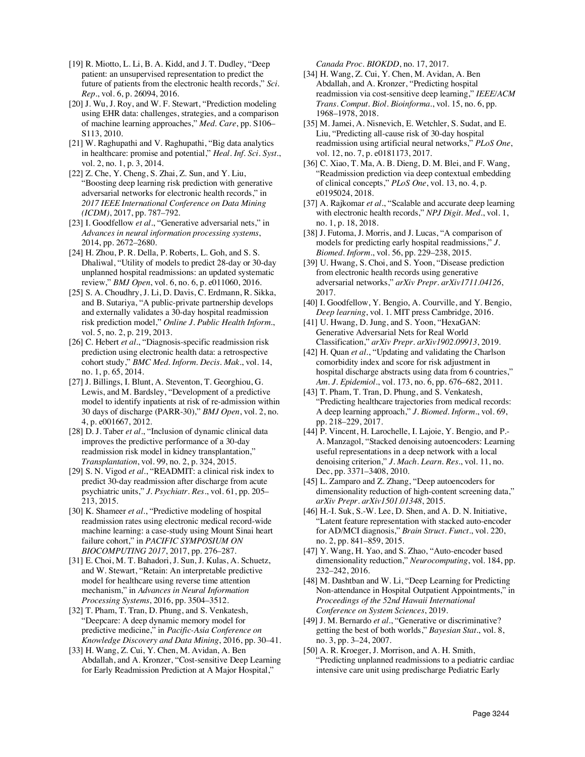[19] R. Miotto, L. Li, B. A. Kidd, and J. T. Dudley, "Deep patient: an unsupervised representation to predict the future of patients from the electronic health records," *Sci. Rep.*, vol. 6, p. 26094, 2016.

[20] J. Wu, J. Roy, and W. F. Stewart, "Prediction modeling using EHR data: challenges, strategies, and a comparison of machine learning approaches," *Med. Care*, pp. S106– S113, 2010.

[21] W. Raghupathi and V. Raghupathi, "Big data analytics" in healthcare: promise and potential," *Heal. Inf. Sci. Syst.*, vol. 2, no. 1, p. 3, 2014.

[22] Z. Che, Y. Cheng, S. Zhai, Z. Sun, and Y. Liu, "Boosting deep learning risk prediction with generative adversarial networks for electronic health records," in *2017 IEEE International Conference on Data Mining (ICDM)*, 2017, pp. 787–792.

[23] I. Goodfellow *et al.*, "Generative adversarial nets," in *Advances in neural information processing systems*, 2014, pp. 2672–2680.

[24] H. Zhou, P. R. Della, P. Roberts, L. Goh, and S. S. Dhaliwal, "Utility of models to predict 28-day or 30-day unplanned hospital readmissions: an updated systematic review," *BMJ Open*, vol. 6, no. 6, p. e011060, 2016.

[25] S. A. Choudhry, J. Li, D. Davis, C. Erdmann, R. Sikka, and B. Sutariya, "A public-private partnership develops and externally validates a 30-day hospital readmission risk prediction model," *Online J. Public Health Inform.*, vol. 5, no. 2, p. 219, 2013.

[26] C. Hebert *et al.*, "Diagnosis-specific readmission risk prediction using electronic health data: a retrospective cohort study," *BMC Med. Inform. Decis. Mak.*, vol. 14, no. 1, p. 65, 2014.

[27] J. Billings, I. Blunt, A. Steventon, T. Georghiou, G. Lewis, and M. Bardsley, "Development of a predictive model to identify inpatients at risk of re-admission within 30 days of discharge (PARR-30)," *BMJ Open*, vol. 2, no. 4, p. e001667, 2012.

[28] D. J. Taber *et al.*, "Inclusion of dynamic clinical data improves the predictive performance of a 30-day readmission risk model in kidney transplantation," *Transplantation*, vol. 99, no. 2, p. 324, 2015.

[29] S. N. Vigod et al., "READMIT: a clinical risk index to predict 30-day readmission after discharge from acute psychiatric units," *J. Psychiatr. Res.*, vol. 61, pp. 205– 213, 2015.

[30] K. Shameer *et al.*, "Predictive modeling of hospital readmission rates using electronic medical record-wide machine learning: a case-study using Mount Sinai heart failure cohort," in *PACIFIC SYMPOSIUM ON BIOCOMPUTING 2017*, 2017, pp. 276–287.

[31] E. Choi, M. T. Bahadori, J. Sun, J. Kulas, A. Schuetz, and W. Stewart, "Retain: An interpretable predictive model for healthcare using reverse time attention mechanism," in *Advances in Neural Information Processing Systems*, 2016, pp. 3504–3512.

[32] T. Pham, T. Tran, D. Phung, and S. Venkatesh, "Deepcare: A deep dynamic memory model for predictive medicine," in *Pacific-Asia Conference on Knowledge Discovery and Data Mining*, 2016, pp. 30–41.

[33] H. Wang, Z. Cui, Y. Chen, M. Avidan, A. Ben Abdallah, and A. Kronzer, "Cost-sensitive Deep Learning for Early Readmission Prediction at A Major Hospital,"

*Canada Proc. BIOKDD*, no. 17, 2017.

- [34] H. Wang, Z. Cui, Y. Chen, M. Avidan, A. Ben Abdallah, and A. Kronzer, "Predicting hospital readmission via cost-sensitive deep learning," *IEEE/ACM Trans. Comput. Biol. Bioinforma.*, vol. 15, no. 6, pp. 1968–1978, 2018.
- [35] M. Jamei, A. Nisnevich, E. Wetchler, S. Sudat, and E. Liu, "Predicting all-cause risk of 30-day hospital readmission using artificial neural networks," *PLoS One*, vol. 12, no. 7, p. e0181173, 2017.

[36] C. Xiao, T. Ma, A. B. Dieng, D. M. Blei, and F. Wang, "Readmission prediction via deep contextual embedding of clinical concepts," *PLoS One*, vol. 13, no. 4, p. e0195024, 2018.

[37] A. Rajkomar *et al.*, "Scalable and accurate deep learning with electronic health records," *NPJ Digit. Med.*, vol. 1, no. 1, p. 18, 2018.

[38] J. Futoma, J. Morris, and J. Lucas, "A comparison of models for predicting early hospital readmissions," *J. Biomed. Inform.*, vol. 56, pp. 229–238, 2015.

- [39] U. Hwang, S. Choi, and S. Yoon, "Disease prediction from electronic health records using generative adversarial networks," *arXiv Prepr. arXiv1711.04126*, 2017.
- [40] I. Goodfellow, Y. Bengio, A. Courville, and Y. Bengio, *Deep learning*, vol. 1. MIT press Cambridge, 2016.

[41] U. Hwang, D. Jung, and S. Yoon, "HexaGAN: Generative Adversarial Nets for Real World Classification," *arXiv Prepr. arXiv1902.09913*, 2019.

[42] H. Quan *et al.*, "Updating and validating the Charlson comorbidity index and score for risk adjustment in hospital discharge abstracts using data from 6 countries," *Am. J. Epidemiol.*, vol. 173, no. 6, pp. 676–682, 2011.

[43] T. Pham, T. Tran, D. Phung, and S. Venkatesh, "Predicting healthcare trajectories from medical records: A deep learning approach," *J. Biomed. Inform.*, vol. 69, pp. 218–229, 2017.

[44] P. Vincent, H. Larochelle, I. Lajoie, Y. Bengio, and P.- A. Manzagol, "Stacked denoising autoencoders: Learning useful representations in a deep network with a local denoising criterion," *J. Mach. Learn. Res.*, vol. 11, no. Dec, pp. 3371–3408, 2010.

[45] L. Zamparo and Z. Zhang, "Deep autoencoders for dimensionality reduction of high-content screening data," *arXiv Prepr. arXiv1501.01348*, 2015.

[46] H.-I. Suk, S.-W. Lee, D. Shen, and A. D. N. Initiative, "Latent feature representation with stacked auto-encoder for AD/MCI diagnosis," *Brain Struct. Funct.*, vol. 220, no. 2, pp. 841–859, 2015.

[47] Y. Wang, H. Yao, and S. Zhao, "Auto-encoder based dimensionality reduction," *Neurocomputing*, vol. 184, pp. 232–242, 2016.

[48] M. Dashtban and W. Li, "Deep Learning for Predicting Non-attendance in Hospital Outpatient Appointments," in *Proceedings of the 52nd Hawaii International Conference on System Sciences*, 2019.

[49] J. M. Bernardo et al., "Generative or discriminative? getting the best of both worlds," *Bayesian Stat.*, vol. 8, no. 3, pp. 3–24, 2007.

[50] A. R. Kroeger, J. Morrison, and A. H. Smith, "Predicting unplanned readmissions to a pediatric cardiac intensive care unit using predischarge Pediatric Early